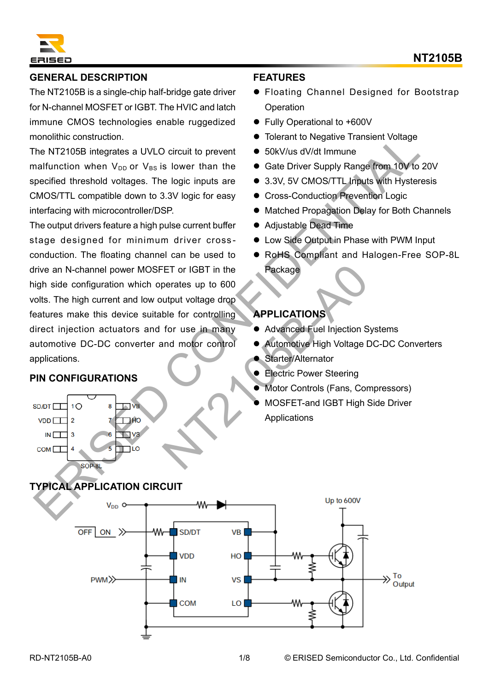

# **GENERAL DESCRIPTION**

The NT2105B is a single-chip half-bridge gate driver for N-channel MOSFET or IGBT. The HVIC and latch immune CMOS technologies enable ruggedized monolithic construction.

The NT2105B integrates a UVLO circuit to prevent malfunction when  $V_{DD}$  or  $V_{BS}$  is lower than the specified threshold voltages. The logic inputs are CMOS/TTL compatible down to 3.3V logic for easy interfacing with microcontroller/DSP.

The output drivers feature a high pulse current buffer stage designed for minimum driver cross conduction. The floating channel can be used to drive an N-channel power MOSFET or IGBT in the high side configuration which operates up to 600 volts. The high current and low output voltage drop features make this device suitable for controlling direct injection actuators and for use in many automotive DC-DC converter and motor control applications. monditine construction.<br>
The NT2105B integrates a UVLO circuit to prevent  $\bullet$  S6KV/us dV/dt immune<br>
The NT2105B integrates a UVLO circuit to prevent  $\bullet$  Sdk Driver Supply Rangerfrom 10V to 20<br>
pecified threshold voltage ET or IGBT in the<br>
Derates up to 600<br>
utput voltage drop<br>
ble for controlling<br>
for use in many<br>
• Advanced Fuel Injection S<br>
Muscle Linked Fuel Injection S<br>
Starter/Alternator<br>
• Electric Power Steering<br>
• Motor Controls (

### **PIN CONFIGURATIONS**

# **FEATURES**

- Floating Channel Designed for Bootstrap **Operation**
- ⚫ Fully Operational to +600V
- Tolerant to Negative Transient Voltage
- 50kV/us dV/dt Immune
- Gate Driver Supply Range from 10V to 20V
- 3.3V, 5V CMOS/TTL Inputs with Hysteresis
- ⚫ Cross-Conduction Prevention Logic
- Matched Propagation Delay for Both Channels
- ⚫ Adjustable Dead Time
- Low Side Output in Phase with PWM Input
- RoHS Compliant and Halogen-Free SOP-8L Package

### **APPLICATIONS**

- ⚫ Advanced Fuel Injection Systems
- ⚫ Automotive High Voltage DC-DC Converters
- Starter/Alternator
- **Electric Power Steering**
- Motor Controls (Fans, Compressors)
- ⚫ MOSFET-and IGBT High Side Driver Applications